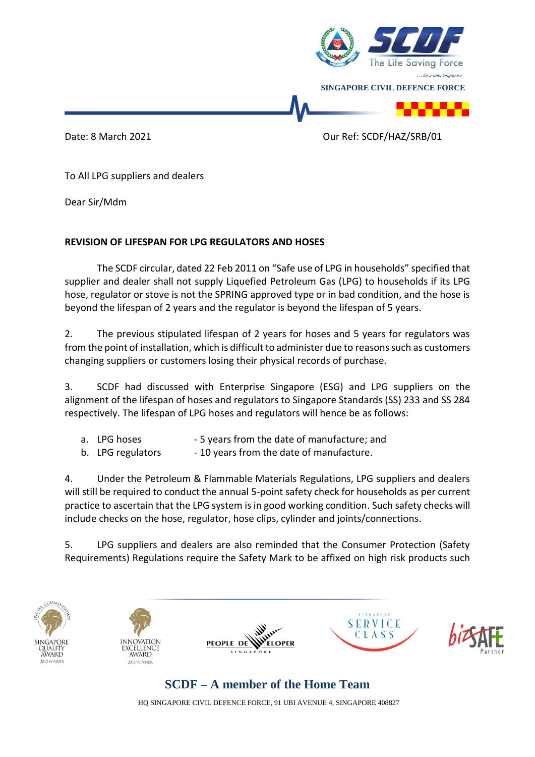

Date: 8 March 2021 **Date: 8 March 2021 Our Ref: SCDF/HAZ/SRB/01** 

To All LPG suppliers and dealers

Dear Sir/Mdm

## **REVISION OF LIFESPAN FOR LPG REGULATORS AND HOSES**

The SCDF circular, dated 22 Feb 2011 on "Safe use of LPG in households" specified that supplier and dealer shall not supply Liquefied Petroleum Gas (LPG) to households if its LPG hose, regulator or stove is not the SPRING approved type or in bad condition, and the hose is beyond the lifespan of 2 years and the regulator is beyond the lifespan of 5 years.

2. The previous stipulated lifespan of 2 years for hoses and 5 years for regulators was from the point of installation, which is difficult to administer due to reasons such as customers changing suppliers or customers losing their physical records of purchase.

3. SCDF had discussed with Enterprise Singapore (ESG) and LPG suppliers on the alignment of the lifespan of hoses and regulators to Singapore Standards (SS) 233 and SS 284 respectively. The lifespan of LPG hoses and regulators will hence be as follows:

- a. LPG hoses 5 years from the date of manufacture; and
- b. LPG regulators 10 years from the date of manufacture.

4. Under the Petroleum & Flammable Materials Regulations, LPG suppliers and dealers will still be required to conduct the annual 5-point safety check for households as per current practice to ascertain that the LPG system is in good working condition. Such safety checks will include checks on the hose, regulator, hose clips, cylinder and joints/connections.

5. LPG suppliers and dealers are also reminded that the Consumer Protection (Safety Requirements) Regulations require the Safety Mark to be affixed on high risk products such











## **SCDF – A member of the Home Team**

HQ SINGAPORE CIVIL DEFENCE FORCE, 91 UBI AVENUE 4, SINGAPORE 408827